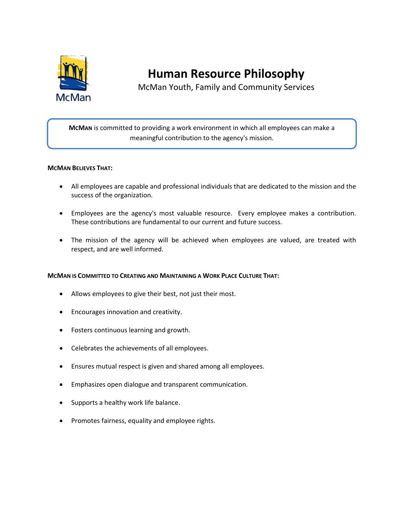

**Human Resource Philosophy**

McMan Youth, Family and Community Services

**MCMAN** is committed to providing a work environment in which all employees can make a meaningful contribution to the agency's mission.

# **MCMAN BELIEVES THAT:**

- All employees are capable and professional individuals that are dedicated to the mission and the success of the organization.
- Employees are the agency's most valuable resource. Every employee makes a contribution. These contributions are fundamental to our current and future success.
- The mission of the agency will be achieved when employees are valued, are treated with respect, and are well informed.

# **MCMAN IS COMMITTED TO CREATING AND MAINTAINING A WORK PLACE CULTURE THAT:**

- Allows employees to give their best, not just their most.
- Encourages innovation and creativity.
- Fosters continuous learning and growth.
- Celebrates the achievements of all employees.
- Ensures mutual respect is given and shared among all employees.
- Emphasizes open dialogue and transparent communication.
- Supports a healthy work life balance.
- Promotes fairness, equality and employee rights.